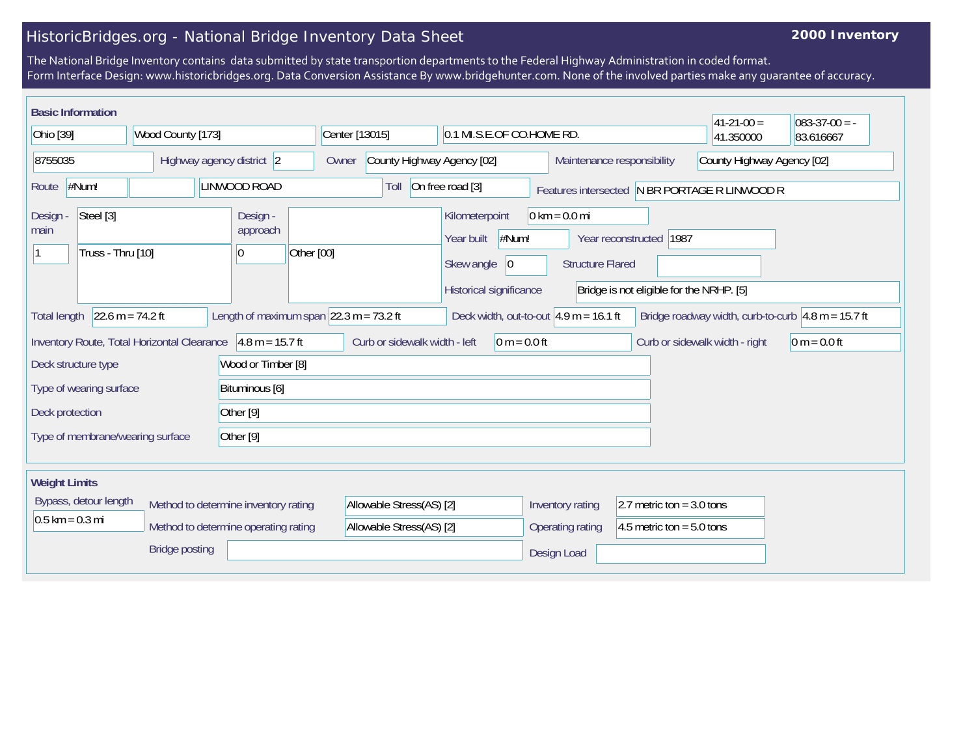## HistoricBridges.org - National Bridge Inventory Data Sheet

## **2000 Inventory**

The National Bridge Inventory contains data submitted by state transportion departments to the Federal Highway Administration in coded format. Form Interface Design: www.historicbridges.org. Data Conversion Assistance By www.bridgehunter.com. None of the involved parties make any guarantee of accuracy.

| <b>Basic Information</b>                                                                                                                                                                                                         |  |                                                 |                                     |                                                                                       |                                                            |                                                                     | $ 41-21-00 $                                  | $083-37-00 = -$ |  |
|----------------------------------------------------------------------------------------------------------------------------------------------------------------------------------------------------------------------------------|--|-------------------------------------------------|-------------------------------------|---------------------------------------------------------------------------------------|------------------------------------------------------------|---------------------------------------------------------------------|-----------------------------------------------|-----------------|--|
| Ohio [39]<br>Wood County [173]                                                                                                                                                                                                   |  |                                                 | Center [13015]                      |                                                                                       | 0.1 MI.S.E.OF CO.HOME RD.                                  |                                                                     | 41.350000                                     | 83.616667       |  |
| 8755035<br>Highway agency district 2                                                                                                                                                                                             |  |                                                 | County Highway Agency [02]<br>Owner |                                                                                       | Maintenance responsibility                                 |                                                                     | County Highway Agency [02]                    |                 |  |
| #Num!<br>LINWOOD ROAD<br>Route                                                                                                                                                                                                   |  |                                                 | Toll                                | On free road [3]                                                                      |                                                            |                                                                     | Features intersected N BR PORTAGE R LINWOOD R |                 |  |
| Steel [3]<br>Design<br>main<br>Truss - Thru [10]                                                                                                                                                                                 |  | Design -<br>approach<br>Other [00]<br> 0        |                                     | Kilometerpoint<br>#Num!<br>Year built<br>Skew angle<br> 0 <br>Historical significance | $0 \text{ km} = 0.0 \text{ mi}$<br><b>Structure Flared</b> | Year reconstructed 1987<br>Bridge is not eligible for the NRHP. [5] |                                               |                 |  |
| 22.6 m = 74.2 ft<br>Length of maximum span $ 22.3 \text{ m} = 73.2 \text{ ft} $<br>Deck width, out-to-out $4.9$ m = 16.1 ft<br>Bridge roadway width, curb-to-curb $\vert 4.8 \text{ m} = 15.7 \text{ ft}$<br><b>Total length</b> |  |                                                 |                                     |                                                                                       |                                                            |                                                                     |                                               |                 |  |
| Inventory Route, Total Horizontal Clearance 4.8 m = 15.7 ft                                                                                                                                                                      |  | Curb or sidewalk width - left<br>$0 m = 0.0 ft$ |                                     | Curb or sidewalk width - right                                                        | $ 0 m = 0.0 ft$                                            |                                                                     |                                               |                 |  |
| Deck structure type                                                                                                                                                                                                              |  | Wood or Timber [8]                              |                                     |                                                                                       |                                                            |                                                                     |                                               |                 |  |
| Type of wearing surface                                                                                                                                                                                                          |  | Bituminous [6]                                  |                                     |                                                                                       |                                                            |                                                                     |                                               |                 |  |
| Deck protection                                                                                                                                                                                                                  |  | Other <sup>[9]</sup>                            |                                     |                                                                                       |                                                            |                                                                     |                                               |                 |  |
| Other [9]<br>Type of membrane/wearing surface                                                                                                                                                                                    |  |                                                 |                                     |                                                                                       |                                                            |                                                                     |                                               |                 |  |
| <b>Weight Limits</b>                                                                                                                                                                                                             |  |                                                 |                                     |                                                                                       |                                                            |                                                                     |                                               |                 |  |
| Bypass, detour length                                                                                                                                                                                                            |  | Method to determine inventory rating            | Allowable Stress(AS) [2]            |                                                                                       | Inventory rating                                           | 2.7 metric ton = $3.0$ tons                                         |                                               |                 |  |
| $0.5$ km = 0.3 mi<br>Method to determine operating rating                                                                                                                                                                        |  |                                                 | Allowable Stress(AS) [2]            |                                                                                       | Operating rating                                           | 4.5 metric ton = $5.0$ tons                                         |                                               |                 |  |
| <b>Bridge posting</b>                                                                                                                                                                                                            |  |                                                 |                                     |                                                                                       | Design Load                                                |                                                                     |                                               |                 |  |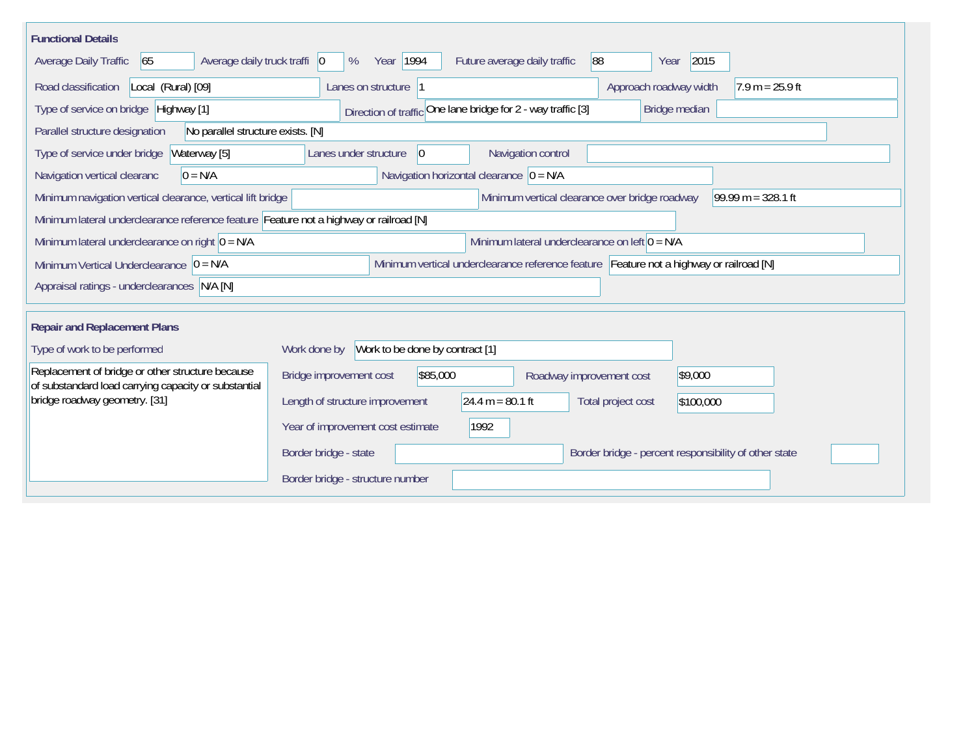| <b>Functional Details</b>                                                                                |                                                                                          |  |  |  |  |  |  |
|----------------------------------------------------------------------------------------------------------|------------------------------------------------------------------------------------------|--|--|--|--|--|--|
| Average daily truck traffi   0<br>Average Daily Traffic<br>65                                            | 2015<br>Year 1994<br>88<br>Future average daily traffic<br>%<br>Year                     |  |  |  |  |  |  |
| Road classification<br>Local (Rural) [09]                                                                | Approach roadway width<br>$7.9 m = 25.9 ft$<br>Lanes on structure  1                     |  |  |  |  |  |  |
| Type of service on bridge Highway [1]                                                                    | Direction of traffic One lane bridge for 2 - way traffic [3]<br>Bridge median            |  |  |  |  |  |  |
| No parallel structure exists. [N]<br>Parallel structure designation                                      |                                                                                          |  |  |  |  |  |  |
| Waterway [5]<br>Type of service under bridge                                                             | 0 <br>Navigation control<br>Lanes under structure                                        |  |  |  |  |  |  |
| Navigation vertical clearanc<br>$0 = N/A$                                                                | Navigation horizontal clearance $ 0 = N/A$                                               |  |  |  |  |  |  |
| Minimum navigation vertical clearance, vertical lift bridge                                              | Minimum vertical clearance over bridge roadway<br>99.99 m = $328.1$ ft                   |  |  |  |  |  |  |
| Minimum lateral underclearance reference feature Feature not a highway or railroad [N]                   |                                                                                          |  |  |  |  |  |  |
| Minimum lateral underclearance on right $ 0 = N/A$                                                       | Minimum lateral underclearance on left $0 = N/A$                                         |  |  |  |  |  |  |
| Minimum Vertical Underclearance $ 0 = N/A$                                                               | Minimum vertical underclearance reference feature Feature not a highway or railroad [N]  |  |  |  |  |  |  |
| Appraisal ratings - underclearances N/A [N]                                                              |                                                                                          |  |  |  |  |  |  |
|                                                                                                          |                                                                                          |  |  |  |  |  |  |
| <b>Repair and Replacement Plans</b>                                                                      |                                                                                          |  |  |  |  |  |  |
| Type of work to be performed                                                                             | Work to be done by contract [1]<br>Work done by                                          |  |  |  |  |  |  |
| Replacement of bridge or other structure because<br>of substandard load carrying capacity or substantial | Bridge improvement cost<br>\$85,000<br>\$9,000<br>Roadway improvement cost               |  |  |  |  |  |  |
| bridge roadway geometry. [31]                                                                            | 24.4 m = $80.1$ ft<br>Length of structure improvement<br>Total project cost<br>\$100,000 |  |  |  |  |  |  |
|                                                                                                          | Year of improvement cost estimate<br>1992                                                |  |  |  |  |  |  |
|                                                                                                          | Border bridge - state<br>Border bridge - percent responsibility of other state           |  |  |  |  |  |  |
|                                                                                                          | Border bridge - structure number                                                         |  |  |  |  |  |  |